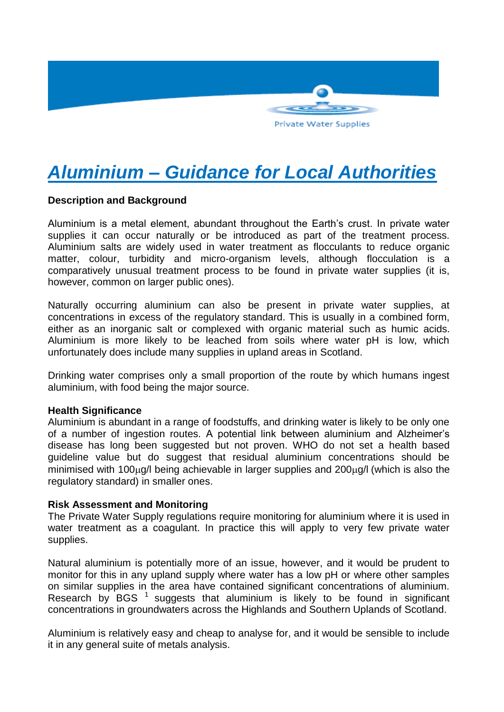

# *Aluminium – Guidance for Local Authorities*

## **Description and Background**

Aluminium is a metal element, abundant throughout the Earth's crust. In private water supplies it can occur naturally or be introduced as part of the treatment process. Aluminium salts are widely used in water treatment as flocculants to reduce organic matter, colour, turbidity and micro-organism levels, although flocculation is a comparatively unusual treatment process to be found in private water supplies (it is, however, common on larger public ones).

Naturally occurring aluminium can also be present in private water supplies, at concentrations in excess of the regulatory standard. This is usually in a combined form, either as an inorganic salt or complexed with organic material such as humic acids. Aluminium is more likely to be leached from soils where water pH is low, which unfortunately does include many supplies in upland areas in Scotland.

Drinking water comprises only a small proportion of the route by which humans ingest aluminium, with food being the major source.

#### **Health Significance**

Aluminium is abundant in a range of foodstuffs, and drinking water is likely to be only one of a number of ingestion routes. A potential link between aluminium and Alzheimer's disease has long been suggested but not proven. WHO do not set a health based guideline value but do suggest that residual aluminium concentrations should be minimised with 100 $\mu$ q/l being achievable in larger supplies and 200 $\mu$ q/l (which is also the regulatory standard) in smaller ones.

#### **Risk Assessment and Monitoring**

The Private Water Supply regulations require monitoring for aluminium where it is used in water treatment as a coagulant. In practice this will apply to very few private water supplies.

Natural aluminium is potentially more of an issue, however, and it would be prudent to monitor for this in any upland supply where water has a low pH or where other samples on similar supplies in the area have contained significant concentrations of aluminium. Research by BGS  $<sup>1</sup>$  suggests that aluminium is likely to be found in significant</sup> concentrations in groundwaters across the Highlands and Southern Uplands of Scotland.

Aluminium is relatively easy and cheap to analyse for, and it would be sensible to include it in any general suite of metals analysis.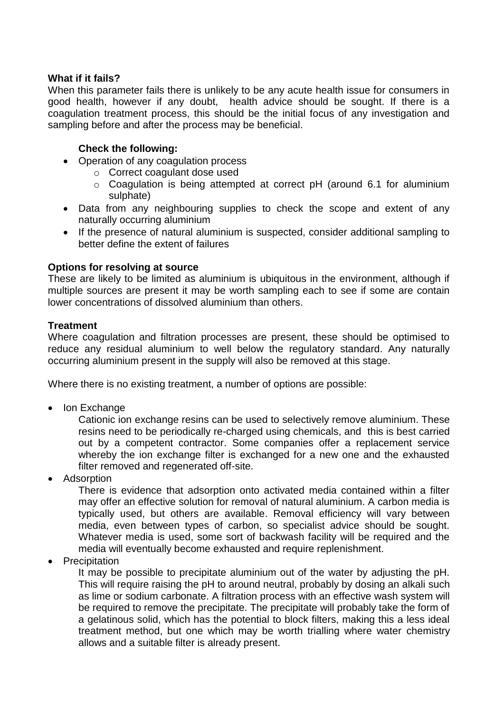## **What if it fails?**

When this parameter fails there is unlikely to be any acute health issue for consumers in good health, however if any doubt, health advice should be sought. If there is a coagulation treatment process, this should be the initial focus of any investigation and sampling before and after the process may be beneficial.

## **Check the following:**

- Operation of any coagulation process
	- o Correct coagulant dose used
	- o Coagulation is being attempted at correct pH (around 6.1 for aluminium sulphate)
- Data from any neighbouring supplies to check the scope and extent of any naturally occurring aluminium
- If the presence of natural aluminium is suspected, consider additional sampling to better define the extent of failures

## **Options for resolving at source**

These are likely to be limited as aluminium is ubiquitous in the environment, although if multiple sources are present it may be worth sampling each to see if some are contain lower concentrations of dissolved aluminium than others.

## **Treatment**

Where coagulation and filtration processes are present, these should be optimised to reduce any residual aluminium to well below the regulatory standard. Any naturally occurring aluminium present in the supply will also be removed at this stage.

Where there is no existing treatment, a number of options are possible:

• Ion Exchange

Cationic ion exchange resins can be used to selectively remove aluminium. These resins need to be periodically re-charged using chemicals, and this is best carried out by a competent contractor. Some companies offer a replacement service whereby the ion exchange filter is exchanged for a new one and the exhausted filter removed and regenerated off-site.

Adsorption

There is evidence that adsorption onto activated media contained within a filter may offer an effective solution for removal of natural aluminium. A carbon media is typically used, but others are available. Removal efficiency will vary between media, even between types of carbon, so specialist advice should be sought. Whatever media is used, some sort of backwash facility will be required and the media will eventually become exhausted and require replenishment.

• Precipitation

It may be possible to precipitate aluminium out of the water by adjusting the pH. This will require raising the pH to around neutral, probably by dosing an alkali such as lime or sodium carbonate. A filtration process with an effective wash system will be required to remove the precipitate. The precipitate will probably take the form of a gelatinous solid, which has the potential to block filters, making this a less ideal treatment method, but one which may be worth trialling where water chemistry allows and a suitable filter is already present.